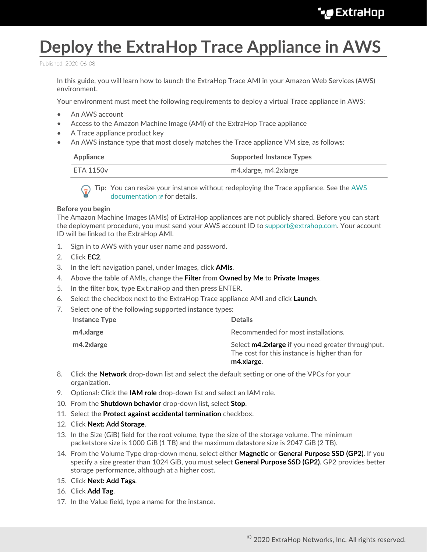## **Deploy the ExtraHop Trace Appliance in AWS**

Published: 2020-06-08

In this guide, you will learn how to launch the ExtraHop Trace AMI in your Amazon Web Services (AWS) environment.

Your environment must meet the following requirements to deploy a virtual Trace appliance in AWS:

- An AWS account
- Access to the Amazon Machine Image (AMI) of the ExtraHop Trace appliance
- A Trace appliance product key
- An AWS instance type that most closely matches the Trace appliance VM size, as follows:

| Appliance | <b>Supported Instance Types</b> |
|-----------|---------------------------------|
| ETA 1150v | m4.xlarge, m4.2xlarge           |

**Tip:** You can resize your instance without redeploying the Trace appliance. See the [AWS](https://docs.aws.amazon.com/AWSEC2/latest/UserGuide/ec2-instance-resize.html) [documentation](https://docs.aws.amazon.com/AWSEC2/latest/UserGuide/ec2-instance-resize.html)  $\mathbf{r}$  for details.

## **Before you begin**

The Amazon Machine Images (AMIs) of ExtraHop appliances are not publicly shared. Before you can start the deployment procedure, you must send your AWS account ID to [support@extrahop.com](mailto:support@extrahop.com). Your account ID will be linked to the ExtraHop AMI.

- 1. Sign in to AWS with your user name and password.
- 2. Click **EC2**.
- 3. In the left navigation panel, under Images, click **AMIs**.
- 4. Above the table of AMIs, change the **Filter** from **Owned by Me** to **Private Images**.
- 5. In the filter box, type ExtraHop and then press ENTER.
- 6. Select the checkbox next to the ExtraHop Trace appliance AMI and click **Launch**.
- 7. Select one of the following supported instance types:

| m4.2xlarge           | Select <b>m4.2xlarge</b> if you need greater throughput.<br>The cost for this instance is higher than for<br>m4.xlarge. |
|----------------------|-------------------------------------------------------------------------------------------------------------------------|
| m4.xlarge            | Recommended for most installations.                                                                                     |
| <b>Instance Type</b> | <b>Details</b>                                                                                                          |

- 8. Click the **Network** drop-down list and select the default setting or one of the VPCs for your organization.
- 9. Optional: Click the **IAM role** drop-down list and select an IAM role.
- 10. From the **Shutdown behavior** drop-down list, select **Stop**.
- 11. Select the **Protect against accidental termination** checkbox.
- 12. Click **Next: Add Storage**.
- 13. In the Size (GiB) field for the root volume, type the size of the storage volume. The minimum packetstore size is 1000 GiB (1 TB) and the maximum datastore size is 2047 GiB (2 TB).
- 14. From the Volume Type drop-down menu, select either **Magnetic** or **General Purpose SSD (GP2)**. If you specify a size greater than 1024 GiB, you must select **General Purpose SSD (GP2)**. GP2 provides better storage performance, although at a higher cost.
- 15. Click **Next: Add Tags**.
- 16. Click **Add Tag**.
- 17. In the Value field, type a name for the instance.